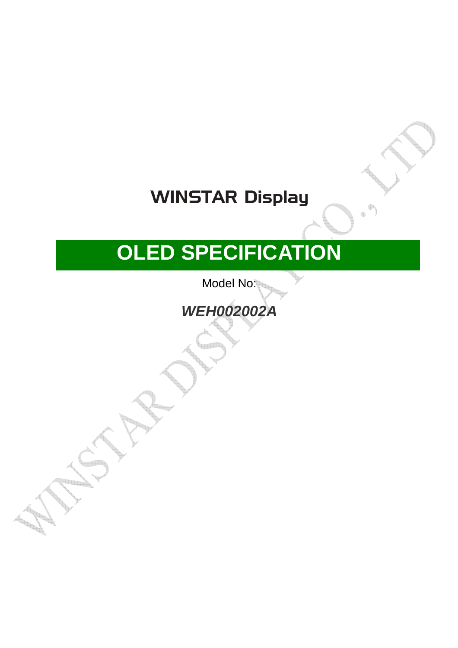# **WINSTAR Display**

# **OLED SPECIFICATION**

Model No:

**WEH002002A**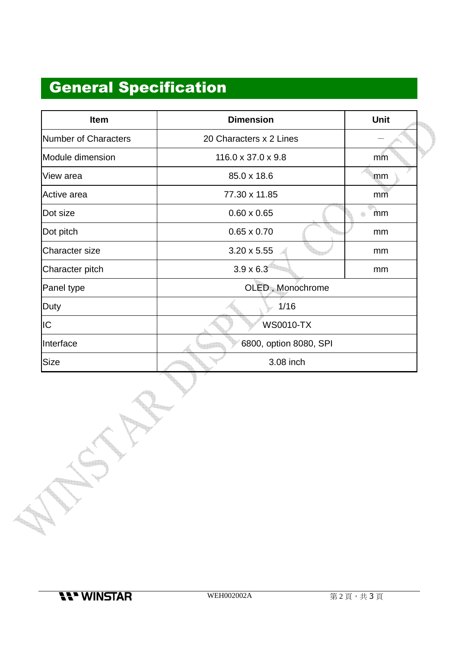### General Specification

| Item                  | <b>Dimension</b>               | <b>Unit</b> |  |  |  |
|-----------------------|--------------------------------|-------------|--|--|--|
| Number of Characters  | 20 Characters x 2 Lines        |             |  |  |  |
| Module dimension      | $116.0 \times 37.0 \times 9.8$ | mm          |  |  |  |
| View area             | 85.0 x 18.6                    | mm          |  |  |  |
| Active area           | 77.30 x 11.85                  | mm          |  |  |  |
| Dot size              | $0.60 \times 0.65$             | mm          |  |  |  |
| Dot pitch             | $0.65 \times 0.70$             | mm          |  |  |  |
| <b>Character size</b> | $3.20 \times 5.55$             | mm          |  |  |  |
| Character pitch       | $3.9 \times 6.3$               | mm          |  |  |  |
| Panel type            | OLED, Monochrome               |             |  |  |  |
| Duty                  | 1/16                           |             |  |  |  |
| IС                    | <b>WS0010-TX</b>               |             |  |  |  |
| Interface             | 6800, option 8080, SPI         |             |  |  |  |
| Size                  | 3.08 inch                      |             |  |  |  |

**11' WINSTAR** 

a province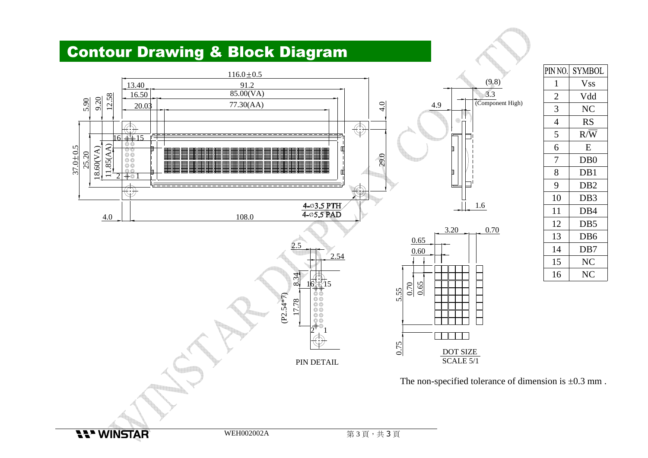#### Contour Drawing & Block Diagram



| PIN NO. | <b>SYMBOL</b>    |
|---------|------------------|
| 1       | Vss              |
| 2       | Vdd              |
| 3       | NC               |
| 4       | RS               |
| 5       | R/W              |
| 6       | E                |
| 7       | D <sub>B</sub> 0 |
| 8       | DB1              |
| 9       | DB <sub>2</sub>  |
| 10      | DB <sub>3</sub>  |
| 11      | DB <sub>4</sub>  |
| 12      | DB5              |
| 13      | DB <sub>6</sub>  |
| 14      | DB7              |
| 15      | NC               |
| 16      | NC               |

The non-specified tolerance of dimension is  $\pm 0.3$  mm.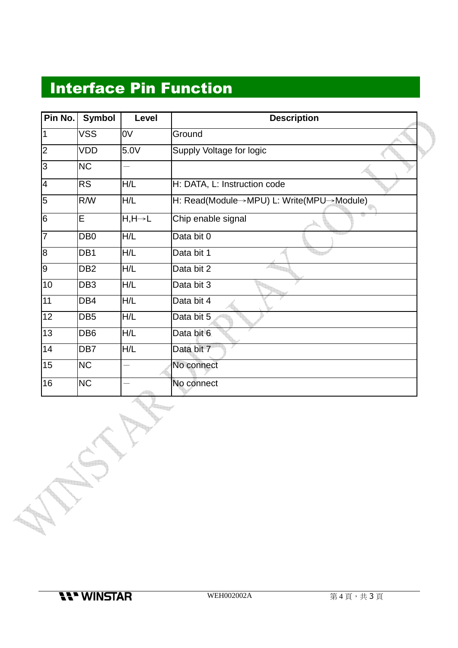#### Interface Pin Function

| Pin No.         | <b>Symbol</b>   | Level                | <b>Description</b>                       |
|-----------------|-----------------|----------------------|------------------------------------------|
| I1              | <b>VSS</b>      | 0V                   | Ground                                   |
| $\vert$ 2       | VDD             | 5.0V                 | Supply Voltage for logic                 |
| l3              | <b>NC</b>       |                      |                                          |
| <sup>4</sup>    | <b>RS</b>       | H/L                  | H: DATA, L: Instruction code             |
| 5               | <b>R/W</b>      | H/L                  | H: Read(Module→MPU) L: Write(MPU→Module) |
| 6               | E               | $H, H \rightarrow L$ | Chip enable signal                       |
| 17              | DB <sub>0</sub> | H/L                  | Data bit 0                               |
| 8               | DB <sub>1</sub> | H/L                  | Data bit 1                               |
| 9               | DB <sub>2</sub> | H/L                  | Data bit 2                               |
| 10              | DB <sub>3</sub> | H/L                  | Data bit 3                               |
| 11              | DB4             | H/L                  | Data bit 4                               |
| $\overline{12}$ | DB <sub>5</sub> | H/L                  | Data bit 5                               |
| 13              | DB <sub>6</sub> | H/L                  | Data bit 6                               |
| 14              | DB7             | H/L                  | Data bit 7                               |
| 15              | <b>NC</b>       |                      | No connect                               |
| 16              | <b>NC</b>       |                      | No connect                               |

**Partido**